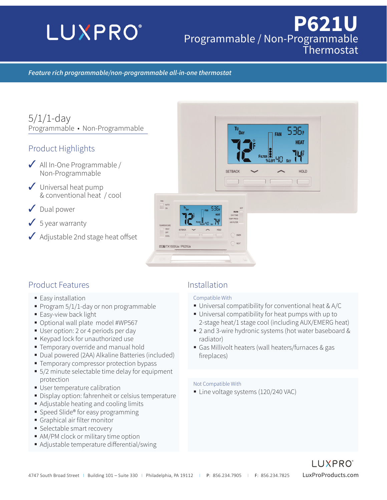# **LUXPRO**®

## **P621U** Programmable / Non-Programmable Thermostat

536,

**HEAT** 

HOLD

FAN

#### *Feature rich programmable/non-programmable all-in-one thermostat*

5/1/1-day Programmable • Non-Programmable

#### Product Highlights

- ✓ All In-One Programmable / Non-Programmable
- $\checkmark$  Universal heat pump & conventional heat / cool
- ✓ Dual power
- $\sqrt{5}$  year warranty
- ◆ Adjustable 2nd stage heat offset

#### Product Features **Installation**

- **Easy installation**
- Program  $5/1/1$ -day or non programmable
- **Easy-view back light**
- Optional wall plate model #WP567
- User option: 2 or 4 periods per day
- Keypad lock for unauthorized use
- **Temporary override and manual hold**
- Dual powered (2AA) Alkaline Batteries (included)
- **Temporary compressor protection bypass**
- 5/2 minute selectable time delay for equipment protection
- User temperature calibration
- Display option: fahrenheit or celsius temperature
- Adjustable heating and cooling limits
- Speed Slide® for easy programming
- Graphical air filter monitor
- Selectable smart recovery
- AM/PM clock or military time option
- Adjustable temperature differential/swing

#### Compatible With

**SETBACK** 

- Universal compatibility for conventional heat & A/C
- Universal compatibility for heat pumps with up to 2-stage heat/1 stage cool (including AUX/EMERG heat)
- 2 and 3-wire hydronic systems (hot water baseboard & radiator)
- Gas Millivolt heaters (wall heaters/furnaces & gas fireplaces)

#### Not Compatible With

Line voltage systems (120/240 VAC)

 $\begin{array}{c}\nFAN \\
\hline\n\end{array}\n\quad \text{AUTC}$ 

**LUXE TX1500Ua / P621Ua**